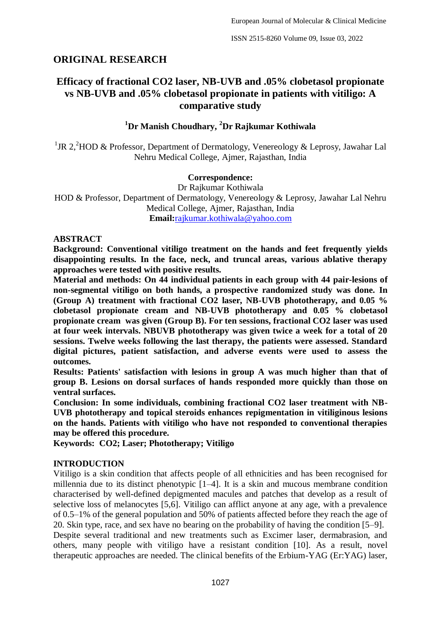# **ORIGINAL RESEARCH**

# **Efficacy of fractional CO2 laser, NB-UVB and .05% clobetasol propionate vs NB-UVB and .05% clobetasol propionate in patients with vitiligo: A comparative study**

## **<sup>1</sup>Dr Manish Choudhary, <sup>2</sup>Dr Rajkumar Kothiwala**

<sup>1</sup>JR 2,<sup>2</sup>HOD & Professor, Department of Dermatology, Venereology & Leprosy, Jawahar Lal Nehru Medical College, Ajmer, Rajasthan, India

## **Correspondence:**

Dr Rajkumar Kothiwala HOD & Professor, Department of Dermatology, Venereology & Leprosy, Jawahar Lal Nehru Medical College, Ajmer, Rajasthan, India **Email:**[rajkumar.kothiwala@yahoo.com](mailto:rajkumar.kothiwala@yahoo.com)

## **ABSTRACT**

**Background: Conventional vitiligo treatment on the hands and feet frequently yields disappointing results. In the face, neck, and truncal areas, various ablative therapy approaches were tested with positive results.**

**Material and methods: On 44 individual patients in each group with 44 pair-lesions of non-segmental vitiligo on both hands, a prospective randomized study was done. In (Group A) treatment with fractional CO2 laser, NB-UVB phototherapy, and 0.05 % clobetasol propionate cream and NB-UVB phototherapy and 0.05 % clobetasol propionate cream was given (Group B). For ten sessions, fractional CO2 laser was used at four week intervals. NBUVB phototherapy was given twice a week for a total of 20 sessions. Twelve weeks following the last therapy, the patients were assessed. Standard digital pictures, patient satisfaction, and adverse events were used to assess the outcomes.**

**Results: Patients' satisfaction with lesions in group A was much higher than that of group B. Lesions on dorsal surfaces of hands responded more quickly than those on ventral surfaces.**

**Conclusion: In some individuals, combining fractional CO2 laser treatment with NB-UVB phototherapy and topical steroids enhances repigmentation in vitiliginous lesions on the hands. Patients with vitiligo who have not responded to conventional therapies may be offered this procedure.**

**Keywords: CO2; Laser; Phototherapy; Vitiligo**

## **INTRODUCTION**

Vitiligo is a skin condition that affects people of all ethnicities and has been recognised for millennia due to its distinct phenotypic [1–4]. It is a skin and mucous membrane condition characterised by well-defined depigmented macules and patches that develop as a result of selective loss of melanocytes [5,6]. Vitiligo can afflict anyone at any age, with a prevalence of 0.5–1% of the general population and 50% of patients affected before they reach the age of 20. Skin type, race, and sex have no bearing on the probability of having the condition [5–9].

Despite several traditional and new treatments such as Excimer laser, dermabrasion, and others, many people with vitiligo have a resistant condition [10]. As a result, novel therapeutic approaches are needed. The clinical benefits of the Erbium-YAG (Er:YAG) laser,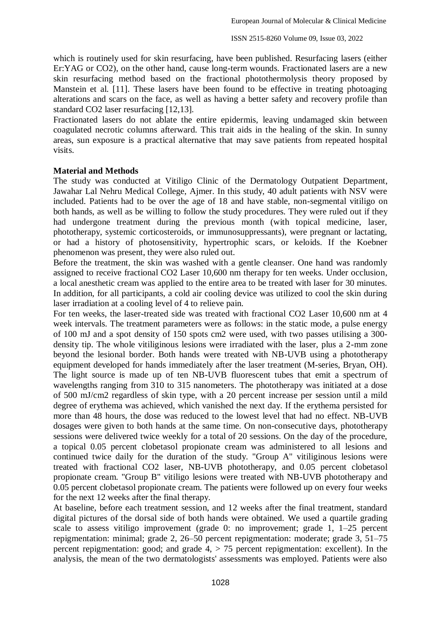which is routinely used for skin resurfacing, have been published. Resurfacing lasers (either Er:YAG or CO2), on the other hand, cause long-term wounds. Fractionated lasers are a new skin resurfacing method based on the fractional photothermolysis theory proposed by Manstein et al. [11]. These lasers have been found to be effective in treating photoaging alterations and scars on the face, as well as having a better safety and recovery profile than standard CO2 laser resurfacing [12,13].

Fractionated lasers do not ablate the entire epidermis, leaving undamaged skin between coagulated necrotic columns afterward. This trait aids in the healing of the skin. In sunny areas, sun exposure is a practical alternative that may save patients from repeated hospital visits.

#### **Material and Methods**

The study was conducted at Vitiligo Clinic of the Dermatology Outpatient Department, Jawahar Lal Nehru Medical College, Ajmer. In this study, 40 adult patients with NSV were included. Patients had to be over the age of 18 and have stable, non-segmental vitiligo on both hands, as well as be willing to follow the study procedures. They were ruled out if they had undergone treatment during the previous month (with topical medicine, laser, phototherapy, systemic corticosteroids, or immunosuppressants), were pregnant or lactating, or had a history of photosensitivity, hypertrophic scars, or keloids. If the Koebner phenomenon was present, they were also ruled out.

Before the treatment, the skin was washed with a gentle cleanser. One hand was randomly assigned to receive fractional CO2 Laser 10,600 nm therapy for ten weeks. Under occlusion, a local anesthetic cream was applied to the entire area to be treated with laser for 30 minutes. In addition, for all participants, a cold air cooling device was utilized to cool the skin during laser irradiation at a cooling level of 4 to relieve pain.

For ten weeks, the laser-treated side was treated with fractional CO2 Laser 10,600 nm at 4 week intervals. The treatment parameters were as follows: in the static mode, a pulse energy of 100 mJ and a spot density of 150 spots cm2 were used, with two passes utilising a 300 density tip. The whole vitiliginous lesions were irradiated with the laser, plus a 2-mm zone beyond the lesional border. Both hands were treated with NB-UVB using a phototherapy equipment developed for hands immediately after the laser treatment (M-series, Bryan, OH). The light source is made up of ten NB-UVB fluorescent tubes that emit a spectrum of wavelengths ranging from 310 to 315 nanometers. The phototherapy was initiated at a dose of 500 mJ/cm2 regardless of skin type, with a 20 percent increase per session until a mild degree of erythema was achieved, which vanished the next day. If the erythema persisted for more than 48 hours, the dose was reduced to the lowest level that had no effect. NB-UVB dosages were given to both hands at the same time. On non-consecutive days, phototherapy sessions were delivered twice weekly for a total of 20 sessions. On the day of the procedure, a topical 0.05 percent clobetasol propionate cream was administered to all lesions and continued twice daily for the duration of the study. "Group A" vitiliginous lesions were treated with fractional CO2 laser, NB-UVB phototherapy, and 0.05 percent clobetasol propionate cream. "Group B" vitiligo lesions were treated with NB-UVB phototherapy and 0.05 percent clobetasol propionate cream. The patients were followed up on every four weeks for the next 12 weeks after the final therapy.

At baseline, before each treatment session, and 12 weeks after the final treatment, standard digital pictures of the dorsal side of both hands were obtained. We used a quartile grading scale to assess vitiligo improvement (grade 0: no improvement; grade 1, 1–25 percent repigmentation: minimal; grade 2, 26–50 percent repigmentation: moderate; grade 3, 51–75 percent repigmentation: good; and grade  $4$ ,  $> 75$  percent repigmentation: excellent). In the analysis, the mean of the two dermatologists' assessments was employed. Patients were also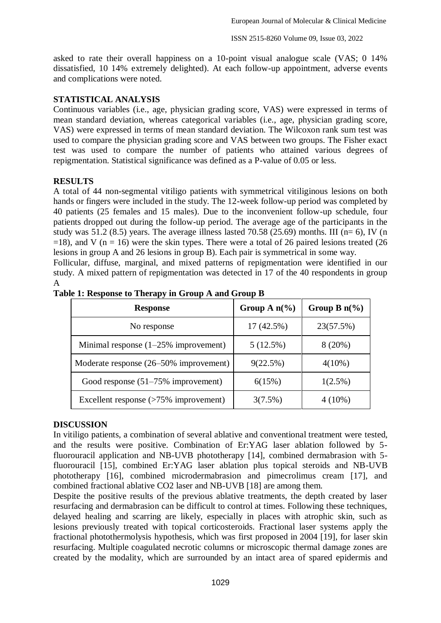asked to rate their overall happiness on a 10-point visual analogue scale (VAS; 0 14% dissatisfied, 10 14% extremely delighted). At each follow-up appointment, adverse events and complications were noted.

## **STATISTICAL ANALYSIS**

Continuous variables (i.e., age, physician grading score, VAS) were expressed in terms of mean standard deviation, whereas categorical variables (i.e., age, physician grading score, VAS) were expressed in terms of mean standard deviation. The Wilcoxon rank sum test was used to compare the physician grading score and VAS between two groups. The Fisher exact test was used to compare the number of patients who attained various degrees of repigmentation. Statistical significance was defined as a P-value of 0.05 or less.

## **RESULTS**

A total of 44 non-segmental vitiligo patients with symmetrical vitiliginous lesions on both hands or fingers were included in the study. The 12-week follow-up period was completed by 40 patients (25 females and 15 males). Due to the inconvenient follow-up schedule, four patients dropped out during the follow-up period. The average age of the participants in the study was  $51.2$  (8.5) years. The average illness lasted 70.58 (25.69) months. III (n= 6), IV (n  $=18$ ), and V (n = 16) were the skin types. There were a total of 26 paired lesions treated (26) lesions in group A and 26 lesions in group B). Each pair is symmetrical in some way.

Follicular, diffuse, marginal, and mixed patterns of repigmentation were identified in our study. A mixed pattern of repigmentation was detected in 17 of the 40 respondents in group A

| <b>Response</b>                         | Group A $n\frac{6}{6}$ | Group B $n\frac{6}{6}$ |
|-----------------------------------------|------------------------|------------------------|
| No response                             | 17(42.5%)              | 23(57.5%)              |
| Minimal response $(1-25\%$ improvement) | 5(12.5%)               | 8 (20%)                |
| Moderate response (26–50% improvement)  | 9(22.5%)               | $4(10\%)$              |
| Good response $(51-75\%$ improvement)   | 6(15%)                 | $1(2.5\%)$             |
| Excellent response (>75% improvement)   | 3(7.5%)                | $4(10\%)$              |

**Table 1: Response to Therapy in Group A and Group B**

## **DISCUSSION**

In vitiligo patients, a combination of several ablative and conventional treatment were tested, and the results were positive. Combination of Er:YAG laser ablation followed by 5 fluorouracil application and NB-UVB phototherapy [14], combined dermabrasion with 5 fluorouracil [15], combined Er:YAG laser ablation plus topical steroids and NB-UVB phototherapy [16], combined microdermabrasion and pimecrolimus cream [17], and combined fractional ablative CO2 laser and NB-UVB [18] are among them.

Despite the positive results of the previous ablative treatments, the depth created by laser resurfacing and dermabrasion can be difficult to control at times. Following these techniques, delayed healing and scarring are likely, especially in places with atrophic skin, such as lesions previously treated with topical corticosteroids. Fractional laser systems apply the fractional photothermolysis hypothesis, which was first proposed in 2004 [19], for laser skin resurfacing. Multiple coagulated necrotic columns or microscopic thermal damage zones are created by the modality, which are surrounded by an intact area of spared epidermis and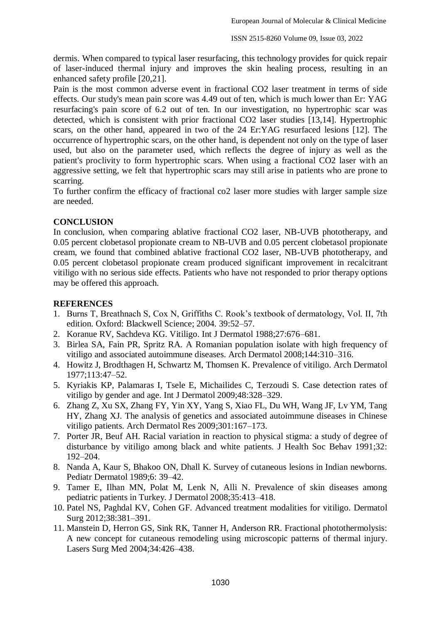dermis. When compared to typical laser resurfacing, this technology provides for quick repair of laser-induced thermal injury and improves the skin healing process, resulting in an enhanced safety profile [20,21].

Pain is the most common adverse event in fractional CO2 laser treatment in terms of side effects. Our study's mean pain score was 4.49 out of ten, which is much lower than Er: YAG resurfacing's pain score of 6.2 out of ten. In our investigation, no hypertrophic scar was detected, which is consistent with prior fractional CO2 laser studies [13,14]. Hypertrophic scars, on the other hand, appeared in two of the 24 Er:YAG resurfaced lesions [12]. The occurrence of hypertrophic scars, on the other hand, is dependent not only on the type of laser used, but also on the parameter used, which reflects the degree of injury as well as the patient's proclivity to form hypertrophic scars. When using a fractional CO2 laser with an aggressive setting, we felt that hypertrophic scars may still arise in patients who are prone to scarring.

To further confirm the efficacy of fractional co2 laser more studies with larger sample size are needed.

## **CONCLUSION**

In conclusion, when comparing ablative fractional CO2 laser, NB-UVB phototherapy, and 0.05 percent clobetasol propionate cream to NB-UVB and 0.05 percent clobetasol propionate cream, we found that combined ablative fractional CO2 laser, NB-UVB phototherapy, and 0.05 percent clobetasol propionate cream produced significant improvement in recalcitrant vitiligo with no serious side effects. Patients who have not responded to prior therapy options may be offered this approach.

## **REFERENCES**

- 1. Burns T, Breathnach S, Cox N, Griffiths C. Rook's textbook of dermatology, Vol. II, 7th edition. Oxford: Blackwell Science; 2004. 39:52–57.
- 2. Koranue RV, Sachdeva KG. Vitiligo. Int J Dermatol 1988;27:676–681.
- 3. Birlea SA, Fain PR, Spritz RA. A Romanian population isolate with high frequency of vitiligo and associated autoimmune diseases. Arch Dermatol 2008;144:310–316.
- 4. Howitz J, Brodthagen H, Schwartz M, Thomsen K. Prevalence of vitiligo. Arch Dermatol 1977;113:47–52.
- 5. Kyriakis KP, Palamaras I, Tsele E, Michailides C, Terzoudi S. Case detection rates of vitiligo by gender and age. Int J Dermatol 2009;48:328–329.
- 6. Zhang Z, Xu SX, Zhang FY, Yin XY, Yang S, Xiao FL, Du WH, Wang JF, Lv YM, Tang HY, Zhang XJ. The analysis of genetics and associated autoimmune diseases in Chinese vitiligo patients. Arch Dermatol Res 2009;301:167–173.
- 7. Porter JR, Beuf AH. Racial variation in reaction to physical stigma: a study of degree of disturbance by vitiligo among black and white patients. J Health Soc Behav 1991;32: 192–204.
- 8. Nanda A, Kaur S, Bhakoo ON, Dhall K. Survey of cutaneous lesions in Indian newborns. Pediatr Dermatol 1989;6: 39–42.
- 9. Tamer E, Ilhan MN, Polat M, Lenk N, Alli N. Prevalence of skin diseases among pediatric patients in Turkey. J Dermatol 2008;35:413–418.
- 10. Patel NS, Paghdal KV, Cohen GF. Advanced treatment modalities for vitiligo. Dermatol Surg 2012;38:381–391.
- 11. Manstein D, Herron GS, Sink RK, Tanner H, Anderson RR. Fractional photothermolysis: A new concept for cutaneous remodeling using microscopic patterns of thermal injury. Lasers Surg Med 2004;34:426–438.